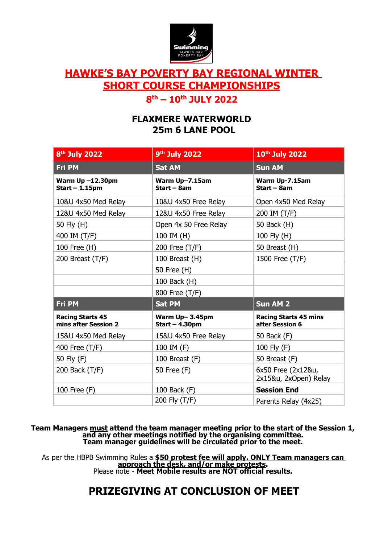

# **HAWKE'S BAY POVERTY BAY REGIONAL WINTER SHORT COURSE CHAMPIONSHIPS**

# **8 th – 10 th JULY 2022**

# **FLAXMERE WATERWORLD 25m 6 LANE POOL**

| 8 <sup>th</sup> July 2022                       | 9 <sup>th</sup> July 2022          | 10th July 2022                                  |
|-------------------------------------------------|------------------------------------|-------------------------------------------------|
| <b>Fri PM</b>                                   | <b>Sat AM</b>                      | <b>Sun AM</b>                                   |
| <b>Warm Up-12.30pm</b><br>$Start - 1.15pm$      | Warm Up-7.15am<br>Start - 8am      | Warm Up-7.15am<br>$Start - 8am$                 |
| 10&U 4x50 Med Relay                             | 10&U 4x50 Free Relay               | Open 4x50 Med Relay                             |
| 12&U 4x50 Med Relay                             | 12&U 4x50 Free Relay               | 200 IM (T/F)                                    |
| 50 Fly (H)                                      | Open 4x 50 Free Relay              | 50 Back (H)                                     |
| 400 IM (T/F)                                    | 100 IM (H)                         | 100 Fly (H)                                     |
| 100 Free (H)                                    | 200 Free (T/F)                     | 50 Breast (H)                                   |
| 200 Breast (T/F)                                | 100 Breast (H)                     | 1500 Free (T/F)                                 |
|                                                 | 50 Free (H)                        |                                                 |
|                                                 | 100 Back (H)                       |                                                 |
|                                                 | 800 Free (T/F)                     |                                                 |
| <b>Fri PM</b>                                   | <b>Sat PM</b>                      | <b>Sun AM 2</b>                                 |
| <b>Racing Starts 45</b><br>mins after Session 2 | Warm Up-3.45pm<br>Start $-4.30$ pm | <b>Racing Starts 45 mins</b><br>after Session 6 |
| 15&U 4x50 Med Relay                             | 15&U 4x50 Free Relay               | 50 Back (F)                                     |
| 400 Free (T/F)                                  | 100 IM (F)                         | 100 Fly (F)                                     |
| 50 Fly (F)                                      | 100 Breast (F)                     | 50 Breast (F)                                   |
| 200 Back (T/F)                                  | 50 Free (F)                        | 6x50 Free (2x12&u,<br>2x15&u, 2xOpen) Relay     |
| 100 Free (F)                                    | 100 Back (F)                       | <b>Session End</b>                              |
|                                                 | 200 Fly (T/F)                      | Parents Relay (4x25)                            |

**Team Managers must attend the team manager meeting prior to the start of the Session 1, and any other meetings notified by the organising committee. Team manager guidelines will be circulated prior to the meet.**

As per the HBPB Swimming Rules a **\$50 protest fee will apply. ONLY Team managers can approach the desk, and/or make protests.**  Please note - **Meet Mobile results are NOT official results.**

# **PRIZEGIVING AT CONCLUSION OF MEET**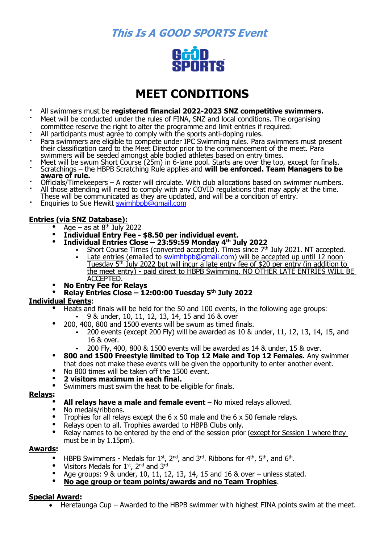**This Is A GOOD SPORTS Event**



# **MEET CONDITIONS**

- All swimmers must be **registered financial 2022-2023 SNZ competitive swimmers.**
- Meet will be conducted under the rules of FINA, SNZ and local conditions. The organising committee reserve the right to alter the programme and limit entries if required.
- All participants must agree to comply with the sports anti-doping rules.
- Para swimmers are eligible to compete under IPC Swimming rules. Para swimmers must present their classification card to the Meet Director prior to the commencement of the meet. Para swimmers will be seeded amongst able bodied athletes based on entry times.
- Meet will be swum Short Course (25m) in 6-lane pool. Starts are over the top, except for finals.
- Scratchings the HBPB Scratching Rule applies and **will be enforced. Team Managers to be aware of rule.**
- Officials/Timekeepers A roster will circulate. With club allocations based on swimmer numbers. All those attending will need to comply with any COVID regulations that may apply at the time.
- These will be communicated as they are updated, and will be a condition of entry.
- Enquiries to Sue Hewitt [swimhbpb@gmail.com](mailto:swimhbpb@gmail.com)

## **Entries (via SNZ Database):**

- Age as at  $8<sup>th</sup>$  July 2022
- **Individual Entry Fee - \$8.50 per individual event.**
- **Individual Entries Close – 23:59:59 Monday 4 th July 2022**
	- Short Course Times (converted accepted). Times since 7<sup>th</sup> July 2021. NT accepted.
	- **Example 12** Late entries (emailed to [swimhbpb@gmail.com\)](mailto:swimhbpb@gmail.com) will be accepted up until 12 noon Tuesday 5th July 2022 but will incur a late entry fee of \$20 per entry (in addition to the meet entry) - paid direct to HBPB Swimming. NO OTHER LATE ENTRIES WILL BE ACCEPTED.
- **No Entry Fee for Relays**
- **Relay Entries Close – 12:00:00 Tuesday 5th July 2022**

#### **Individual Events**:

- Heats and finals will be held for the 50 and 100 events, in the following age groups: 9 & under, 10, 11, 12, 13, 14, 15 and 16 & over
	- 200, 400, 800 and 1500 events will be swum as timed finals.
		- 200 events (except 200 Fly) will be awarded as  $10 \&$  under,  $11$ ,  $12$ ,  $13$ ,  $14$ ,  $15$ , and 16 & over.
		- 200 Fly, 400, 800 & 1500 events will be awarded as 14 & under, 15 & over.
- **800 and 1500 Freestyle limited to Top 12 Male and Top 12 Females.** Any swimmer that does not make these events will be given the opportunity to enter another event.
- No 800 times will be taken off the 1500 event.
- **2 visitors maximum in each final.**
- Swimmers must swim the heat to be eligible for finals.

#### **Relays:**

- **All relays have a male and female event** No mixed relays allowed.
- No medals/ribbons.
- Trophies for all relays except the 6 x 50 male and the 6 x 50 female relays.
- Relays open to all. Trophies awarded to HBPB Clubs only.
- Relay names to be entered by the end of the session prior (except for Session 1 where they must be in by 1.15pm).

#### **Awards:**

- HBPB Swimmers Medals for  $1<sup>st</sup>$ ,  $2<sup>nd</sup>$ , and  $3<sup>rd</sup>$ . Ribbons for  $4<sup>th</sup>$ ,  $5<sup>th</sup>$ , and  $6<sup>th</sup>$ .
- Visitors Medals for  $1^{st}$ ,  $2^{nd}$  and  $3^{rd}$
- Age groups: 9 & under, 10, 11, 12, 13, 14, 15 and 16 & over unless stated.
- **No age group or team points/awards and no Team Trophies**.

#### **Special Award:**

• Heretaunga Cup – Awarded to the HBPB swimmer with highest FINA points swim at the meet.